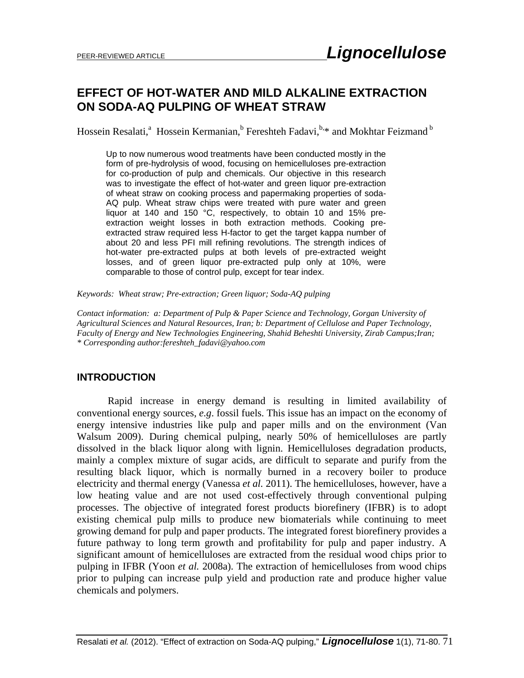# **EFFECT OF HOT-WATER AND MILD ALKALINE EXTRACTION ON SODA-AQ PULPING OF WHEAT STRAW**

Hossein Resalati,<sup>a</sup> Hossein Kermanian,<sup>b</sup> Fereshteh Fadavi,<sup>b,\*</sup> and Mokhtar Feizmand <sup>b</sup>

Up to now numerous wood treatments have been conducted mostly in the form of pre-hydrolysis of wood, focusing on hemicelluloses pre-extraction for co-production of pulp and chemicals. Our objective in this research was to investigate the effect of hot-water and green liquor pre-extraction of wheat straw on cooking process and papermaking properties of soda-AQ pulp. Wheat straw chips were treated with pure water and green liquor at 140 and 150 °C, respectively, to obtain 10 and 15% preextraction weight losses in both extraction methods. Cooking preextracted straw required less H-factor to get the target kappa number of about 20 and less PFI mill refining revolutions. The strength indices of hot-water pre-extracted pulps at both levels of pre-extracted weight losses, and of green liquor pre-extracted pulp only at 10%, were comparable to those of control pulp, except for tear index.

*Keywords: Wheat straw; Pre-extraction; Green liquor; Soda-AQ pulping* 

*Contact information: a: Department of Pulp & Paper Science and Technology, Gorgan University of Agricultural Sciences and Natural Resources, Iran; b: Department of Cellulose and Paper Technology, Faculty of Energy and New Technologies Engineering, Shahid Beheshti University, Zirab Campus;Iran; \* Corresponding author:fereshteh\_fadavi@yahoo.com* 

## **INTRODUCTION**

 Rapid increase in energy demand is resulting in limited availability of conventional energy sources, *e.g*. fossil fuels. This issue has an impact on the economy of energy intensive industries like pulp and paper mills and on the environment (Van Walsum 2009). During chemical pulping, nearly 50% of hemicelluloses are partly dissolved in the black liquor along with lignin. Hemicelluloses degradation products, mainly a complex mixture of sugar acids, are difficult to separate and purify from the resulting black liquor, which is normally burned in a recovery boiler to produce electricity and thermal energy (Vanessa *et al.* 2011). The hemicelluloses, however, have a low heating value and are not used cost-effectively through conventional pulping processes. The objective of integrated forest products biorefinery (IFBR) is to adopt existing chemical pulp mills to produce new biomaterials while continuing to meet growing demand for pulp and paper products. The integrated forest biorefinery provides a future pathway to long term growth and profitability for pulp and paper industry. A significant amount of hemicelluloses are extracted from the residual wood chips prior to pulping in IFBR (Yoon *et al.* 2008a). The extraction of hemicelluloses from wood chips prior to pulping can increase pulp yield and production rate and produce higher value chemicals and polymers.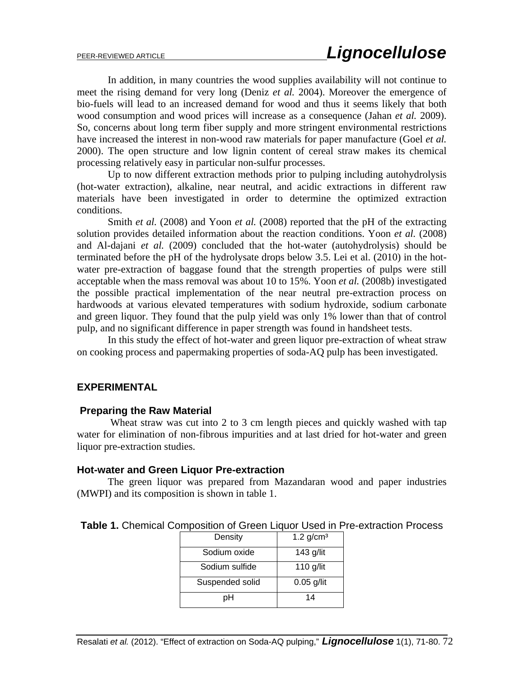In addition, in many countries the wood supplies availability will not continue to meet the rising demand for very long (Deniz *et al.* 2004). Moreover the emergence of bio-fuels will lead to an increased demand for wood and thus it seems likely that both wood consumption and wood prices will increase as a consequence (Jahan *et al.* 2009). So, concerns about long term fiber supply and more stringent environmental restrictions have increased the interest in non-wood raw materials for paper manufacture (Goel *et al.* 2000). The open structure and low lignin content of cereal straw makes its chemical processing relatively easy in particular non-sulfur processes.

Up to now different extraction methods prior to pulping including autohydrolysis (hot-water extraction), alkaline, near neutral, and acidic extractions in different raw materials have been investigated in order to determine the optimized extraction conditions.

Smith *et al.* (2008) and Yoon *et al.* (2008) reported that the pH of the extracting solution provides detailed information about the reaction conditions. Yoon *et al.* (2008) and Al-dajani *et al.* (2009) concluded that the hot-water (autohydrolysis) should be terminated before the pH of the hydrolysate drops below 3.5. Lei et al. (2010) in the hotwater pre-extraction of baggase found that the strength properties of pulps were still acceptable when the mass removal was about 10 to 15%. Yoon *et al.* (2008b) investigated the possible practical implementation of the near neutral pre-extraction process on hardwoods at various elevated temperatures with sodium hydroxide, sodium carbonate and green liquor. They found that the pulp yield was only 1% lower than that of control pulp, and no significant difference in paper strength was found in handsheet tests.

In this study the effect of hot-water and green liquor pre-extraction of wheat straw on cooking process and papermaking properties of soda-AQ pulp has been investigated.

## **EXPERIMENTAL**

#### **Preparing the Raw Material**

Wheat straw was cut into 2 to 3 cm length pieces and quickly washed with tap water for elimination of non-fibrous impurities and at last dried for hot-water and green liquor pre-extraction studies.

#### **Hot-water and Green Liquor Pre-extraction**

The green liquor was prepared from Mazandaran wood and paper industries (MWPI) and its composition is shown in table 1.

| Density         | $1.2$ g/cm <sup>3</sup> |
|-----------------|-------------------------|
| Sodium oxide    | $143$ g/lit             |
| Sodium sulfide  | 110 $g$ /lit            |
| Suspended solid | $0.05$ g/lit            |
|                 | 14                      |

**Table 1.** Chemical Composition of Green Liquor Used in Pre-extraction Process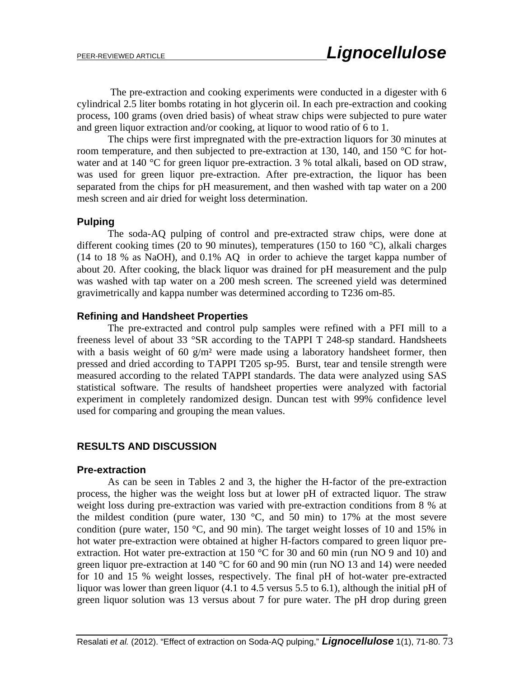The pre-extraction and cooking experiments were conducted in a digester with 6 cylindrical 2.5 liter bombs rotating in hot glycerin oil. In each pre-extraction and cooking process, 100 grams (oven dried basis) of wheat straw chips were subjected to pure water and green liquor extraction and/or cooking, at liquor to wood ratio of 6 to 1.

 The chips were first impregnated with the pre-extraction liquors for 30 minutes at room temperature, and then subjected to pre-extraction at 130, 140, and 150  $\degree$ C for hotwater and at 140 °C for green liquor pre-extraction. 3 % total alkali, based on OD straw, was used for green liquor pre-extraction. After pre-extraction, the liquor has been separated from the chips for pH measurement, and then washed with tap water on a 200 mesh screen and air dried for weight loss determination.

## **Pulping**

The soda-AQ pulping of control and pre-extracted straw chips, were done at different cooking times (20 to 90 minutes), temperatures (150 to 160 °C), alkali charges (14 to 18 % as NaOH), and 0.1% AQ in order to achieve the target kappa number of about 20. After cooking, the black liquor was drained for pH measurement and the pulp was washed with tap water on a 200 mesh screen. The screened yield was determined gravimetrically and kappa number was determined according to T236 om-85.

### **Refining and Handsheet Properties**

The pre-extracted and control pulp samples were refined with a PFI mill to a freeness level of about 33 °SR according to the TAPPI T 248-sp standard. Handsheets with a basis weight of 60  $g/m^2$  were made using a laboratory handsheet former, then pressed and dried according to TAPPI T205 sp-95. Burst, tear and tensile strength were measured according to the related TAPPI standards. The data were analyzed using SAS statistical software. The results of handsheet properties were analyzed with factorial experiment in completely randomized design. Duncan test with 99% confidence level used for comparing and grouping the mean values.

## **RESULTS AND DISCUSSION**

#### **Pre-extraction**

As can be seen in Tables 2 and 3, the higher the H-factor of the pre-extraction process, the higher was the weight loss but at lower pH of extracted liquor. The straw weight loss during pre-extraction was varied with pre-extraction conditions from 8 % at the mildest condition (pure water, 130  $\degree$ C, and 50 min) to 17% at the most severe condition (pure water, 150  $\degree$ C, and 90 min). The target weight losses of 10 and 15% in hot water pre-extraction were obtained at higher H-factors compared to green liquor preextraction. Hot water pre-extraction at 150 °C for 30 and 60 min (run NO 9 and 10) and green liquor pre-extraction at 140 °C for 60 and 90 min (run NO 13 and 14) were needed for 10 and 15 % weight losses, respectively. The final pH of hot-water pre-extracted liquor was lower than green liquor (4.1 to 4.5 versus 5.5 to 6.1), although the initial pH of green liquor solution was 13 versus about 7 for pure water. The pH drop during green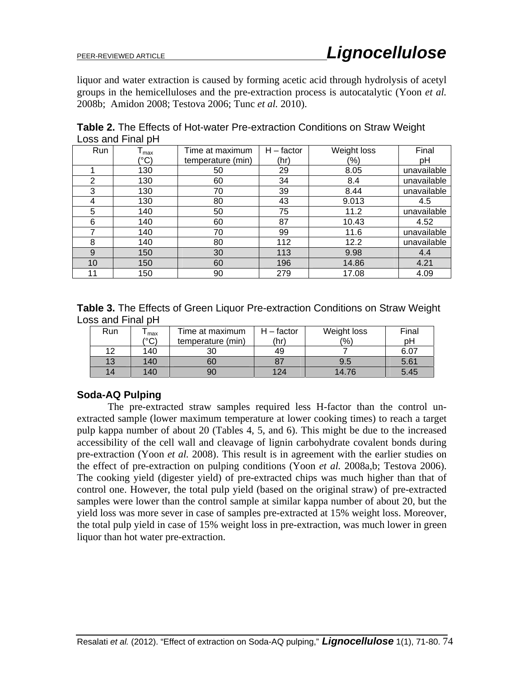liquor and water extraction is caused by forming acetic acid through hydrolysis of acetyl groups in the hemicelluloses and the pre-extraction process is autocatalytic (Yoon *et al.* 2008b; Amidon 2008; Testova 2006; Tunc *et al.* 2010).

| Run | max           | Time at maximum   | $H - factor$ | Weight loss | Final       |
|-----|---------------|-------------------|--------------|-------------|-------------|
|     | $^{\circ}$ C) | temperature (min) | (hr)         | (%)         | рH          |
|     | 130           | 50                | 29           | 8.05        | unavailable |
| 2   | 130           | 60                | 34           | 8.4         | unavailable |
| 3   | 130           | 70                | 39           | 8.44        | unavailable |
| 4   | 130           | 80                | 43           | 9.013       | 4.5         |
| 5   | 140           | 50                | 75           | 11.2        | unavailable |
| 6   | 140           | 60                | 87           | 10.43       | 4.52        |
|     | 140           | 70                | 99           | 11.6        | unavailable |
| 8   | 140           | 80                | 112          | 12.2        | unavailable |
| 9   | 150           | 30                | 113          | 9.98        | 4.4         |
| 10  | 150           | 60                | 196          | 14.86       | 4.21        |
| 11  | 150           | 90                | 279          | 17.08       | 4.09        |

**Table 2.** The Effects of Hot-water Pre-extraction Conditions on Straw Weight Loss and Final pH

**Table 3.** The Effects of Green Liquor Pre-extraction Conditions on Straw Weight Loss and Final pH

| Run | max | Time at maximum   | - factor        | Weight loss | Final |
|-----|-----|-------------------|-----------------|-------------|-------|
|     | ۱ص٥ | temperature (min) | $^{\prime}$ hr) | (%)         | pН    |
| 12  | 140 | 30                | 49              |             | 6.07  |
| 13  | 140 | 60                |                 | 9.5         | 5.61  |
| 14  | 140 | 90                | 124             | 14.76       | 5.45  |

# **Soda-AQ Pulping**

The pre-extracted straw samples required less H-factor than the control unextracted sample (lower maximum temperature at lower cooking times) to reach a target pulp kappa number of about 20 (Tables 4, 5, and 6). This might be due to the increased accessibility of the cell wall and cleavage of lignin carbohydrate covalent bonds during pre-extraction (Yoon *et al.* 2008). This result is in agreement with the earlier studies on the effect of pre-extraction on pulping conditions (Yoon *et al.* 2008a,b; Testova 2006). The cooking yield (digester yield) of pre-extracted chips was much higher than that of control one. However, the total pulp yield (based on the original straw) of pre-extracted samples were lower than the control sample at similar kappa number of about 20, but the yield loss was more sever in case of samples pre-extracted at 15% weight loss. Moreover, the total pulp yield in case of 15% weight loss in pre-extraction, was much lower in green liquor than hot water pre-extraction.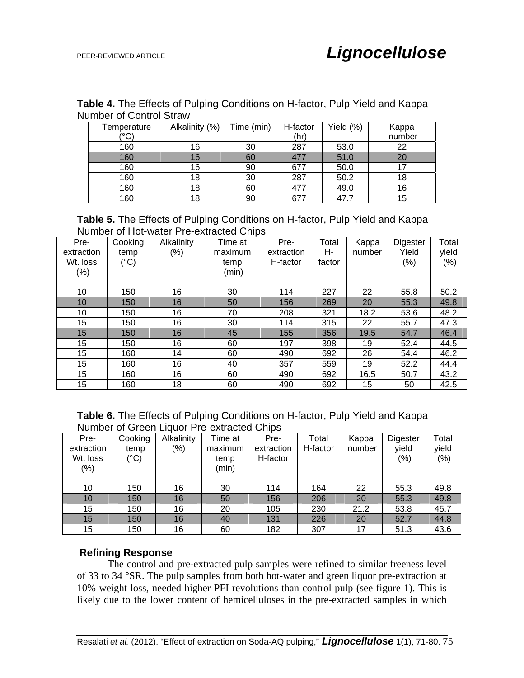| ullingi vi vulitivi vilaw |                |            |          |           |        |  |  |  |
|---------------------------|----------------|------------|----------|-----------|--------|--|--|--|
| Temperature               | Alkalinity (%) | Time (min) | H-factor | Yield (%) | Kappa  |  |  |  |
| (°C)                      |                |            | (hr)     |           | number |  |  |  |
| 160                       | 16             | 30         | 287      | 53.0      | 22     |  |  |  |
| 160                       | 16             | 60         | 477      | 51.0      | 20     |  |  |  |
| 160                       | 16             | 90         | 677      | 50.0      |        |  |  |  |
| 160                       | 18             | 30         | 287      | 50.2      | 18     |  |  |  |
| 160                       | 18             | 60         | 477      | 49.0      | 16     |  |  |  |
| 160                       | 18             | 90         | 677      | 47.7      | 15     |  |  |  |

**Table 4.** The Effects of Pulping Conditions on H-factor, Pulp Yield and Kappa Number of Control Straw

|  | <b>Table 5.</b> The Effects of Pulping Conditions on H-factor, Pulp Yield and Kappa |  |  |  |
|--|-------------------------------------------------------------------------------------|--|--|--|
|  | Number of Hot-water Pre-extracted Chips                                             |  |  |  |

| Pre-<br>extraction<br>Wt. loss<br>(% ) | Cooking<br>temp<br>$(^{\circ}C)$ | Alkalinity<br>$(\%)$ | Time at<br>maximum<br>temp<br>(min) | Pre-<br>extraction<br>H-factor | Total<br>н-<br>factor | Kappa<br>number | Digester<br>Yield<br>(%) | Total<br>yield<br>(%) |
|----------------------------------------|----------------------------------|----------------------|-------------------------------------|--------------------------------|-----------------------|-----------------|--------------------------|-----------------------|
| 10                                     | 150                              | 16                   | 30                                  | 114                            | 227                   | 22              | 55.8                     | 50.2                  |
| 10                                     | 150                              | 16                   | 50                                  | 156                            | 269                   | 20              | 55.3                     | 49.8                  |
| 10                                     | 150                              | 16                   | 70                                  | 208                            | 321                   | 18.2            | 53.6                     | 48.2                  |
| 15                                     | 150                              | 16                   | 30                                  | 114                            | 315                   | 22              | 55.7                     | 47.3                  |
| 15                                     | 150                              | 16                   | 45                                  | 155                            | 356                   | 19.5            | 54.7                     | 46.4                  |
| 15                                     | 150                              | 16                   | 60                                  | 197                            | 398                   | 19              | 52.4                     | 44.5                  |
| 15                                     | 160                              | 14                   | 60                                  | 490                            | 692                   | 26              | 54.4                     | 46.2                  |
| 15                                     | 160                              | 16                   | 40                                  | 357                            | 559                   | 19              | 52.2                     | 44.4                  |
| 15                                     | 160                              | 16                   | 60                                  | 490                            | 692                   | 16.5            | 50.7                     | 43.2                  |
| 15                                     | 160                              | 18                   | 60                                  | 490                            | 692                   | 15              | 50                       | 42.5                  |

**Table 6.** The Effects of Pulping Conditions on H-factor, Pulp Yield and Kappa Number of Green Liquor Pre-extracted Chips

| Pre-<br>extraction<br>Wt. loss<br>(%) | Cooking<br>temp<br>$(^{\circ}C)$ | Alkalinity<br>$\frac{1}{2}$ | Time at<br>maximum<br>temp<br>(min) | Pre-<br>extraction<br>H-factor | Total<br>H-factor | Kappa<br>number | Digester<br>yield<br>$(\% )$ | Total<br>yield<br>$(\%)$ |
|---------------------------------------|----------------------------------|-----------------------------|-------------------------------------|--------------------------------|-------------------|-----------------|------------------------------|--------------------------|
| 10                                    | 150                              | 16                          | 30                                  | 114                            | 164               | 22              | 55.3                         | 49.8                     |
| 10                                    | 150                              | 16                          | 50                                  | 156                            | 206               | 20              | 55.3                         | 49.8                     |
| 15                                    | 150                              | 16                          | 20                                  | 105                            | 230               | 21.2            | 53.8                         | 45.7                     |
| 15                                    | 150                              | 16                          | 40                                  | 131                            | 226               | 20              | 52.7                         | 44.8                     |
| 15                                    | 150                              | 16                          | 60                                  | 182                            | 307               | 17              | 51.3                         | 43.6                     |

## **Refining Response**

The control and pre-extracted pulp samples were refined to similar freeness level of 33 to 34 °SR. The pulp samples from both hot-water and green liquor pre-extraction at 10% weight loss, needed higher PFI revolutions than control pulp (see figure 1). This is likely due to the lower content of hemicelluloses in the pre-extracted samples in which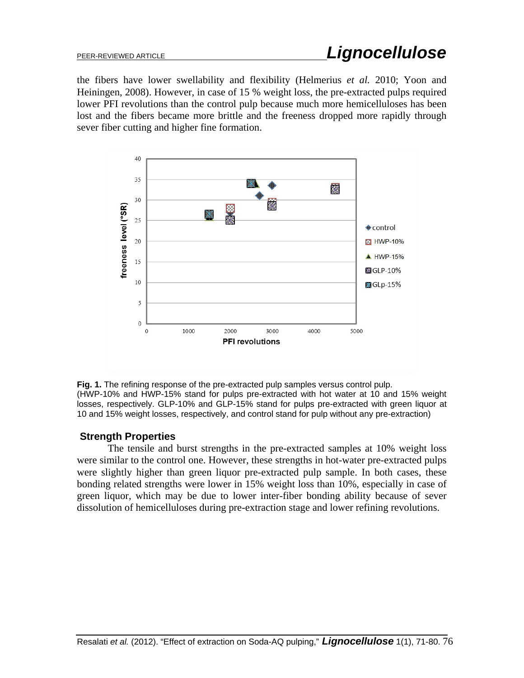the fibers have lower swellability and flexibility (Helmerius *et al.* 2010; Yoon and Heiningen, 2008). However, in case of 15 % weight loss, the pre-extracted pulps required lower PFI revolutions than the control pulp because much more hemicelluloses has been lost and the fibers became more brittle and the freeness dropped more rapidly through sever fiber cutting and higher fine formation.



**Fig. 1.** The refining response of the pre-extracted pulp samples versus control pulp. (HWP-10% and HWP-15% stand for pulps pre-extracted with hot water at 10 and 15% weight losses, respectively. GLP-10% and GLP-15% stand for pulps pre-extracted with green liquor at 10 and 15% weight losses, respectively, and control stand for pulp without any pre-extraction)

# **Strength Properties**

The tensile and burst strengths in the pre-extracted samples at 10% weight loss were similar to the control one. However, these strengths in hot-water pre-extracted pulps were slightly higher than green liquor pre-extracted pulp sample. In both cases, these bonding related strengths were lower in 15% weight loss than 10%, especially in case of green liquor, which may be due to lower inter-fiber bonding ability because of sever dissolution of hemicelluloses during pre-extraction stage and lower refining revolutions.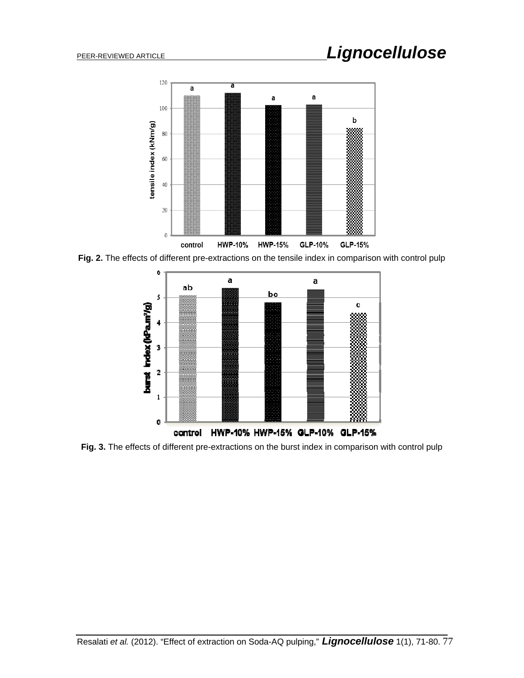# PEER-REVIEWED ARTICLE *Lignocellulose*



**Fig. 2.** The effects of different pre-extractions on the tensile index in comparison with control pulp



**Fig. 3.** The effects of different pre-extractions on the burst index in comparison with control pulp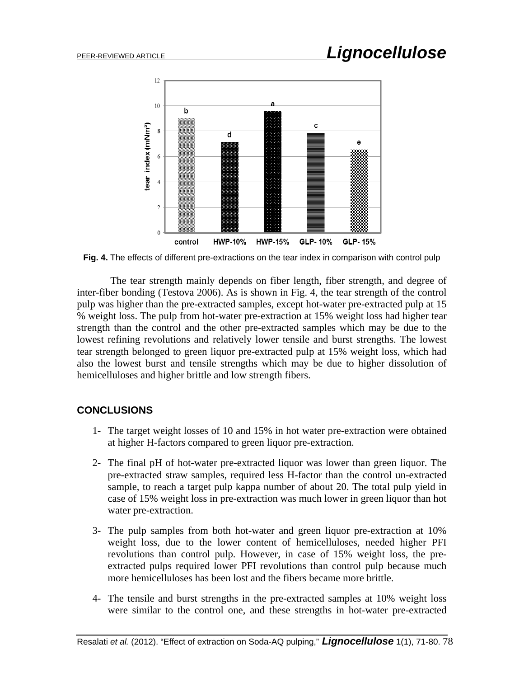

**Fig. 4.** The effects of different pre-extractions on the tear index in comparison with control pulp

 The tear strength mainly depends on fiber length, fiber strength, and degree of inter-fiber bonding (Testova 2006). As is shown in Fig. 4, the tear strength of the control pulp was higher than the pre-extracted samples, except hot-water pre-extracted pulp at 15 % weight loss. The pulp from hot-water pre-extraction at 15% weight loss had higher tear strength than the control and the other pre-extracted samples which may be due to the lowest refining revolutions and relatively lower tensile and burst strengths. The lowest tear strength belonged to green liquor pre-extracted pulp at 15% weight loss, which had also the lowest burst and tensile strengths which may be due to higher dissolution of hemicelluloses and higher brittle and low strength fibers.

# **CONCLUSIONS**

- 1- The target weight losses of 10 and 15% in hot water pre-extraction were obtained at higher H-factors compared to green liquor pre-extraction.
- 2- The final pH of hot-water pre-extracted liquor was lower than green liquor. The pre-extracted straw samples, required less H-factor than the control un-extracted sample, to reach a target pulp kappa number of about 20. The total pulp yield in case of 15% weight loss in pre-extraction was much lower in green liquor than hot water pre-extraction.
- 3- The pulp samples from both hot-water and green liquor pre-extraction at 10% weight loss, due to the lower content of hemicelluloses, needed higher PFI revolutions than control pulp. However, in case of 15% weight loss, the preextracted pulps required lower PFI revolutions than control pulp because much more hemicelluloses has been lost and the fibers became more brittle.
- 4- The tensile and burst strengths in the pre-extracted samples at 10% weight loss were similar to the control one, and these strengths in hot-water pre-extracted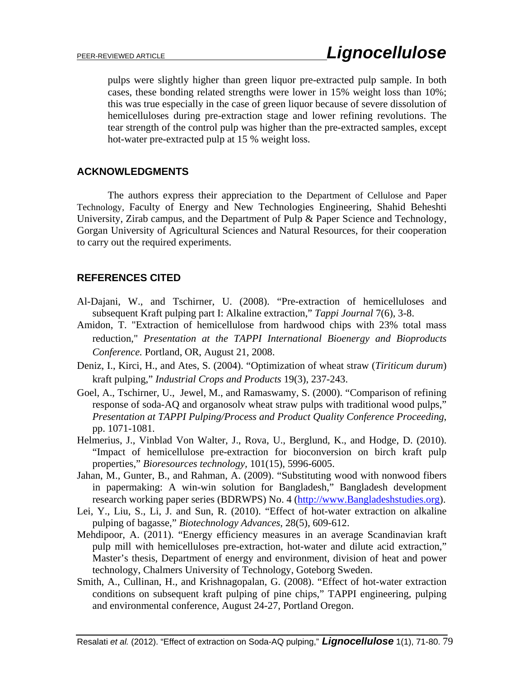pulps were slightly higher than green liquor pre-extracted pulp sample. In both cases, these bonding related strengths were lower in 15% weight loss than 10%; this was true especially in the case of green liquor because of severe dissolution of hemicelluloses during pre-extraction stage and lower refining revolutions. The tear strength of the control pulp was higher than the pre-extracted samples, except hot-water pre-extracted pulp at 15 % weight loss.

# **ACKNOWLEDGMENTS**

The authors express their appreciation to the Department of Cellulose and Paper Technology, Faculty of Energy and New Technologies Engineering, Shahid Beheshti University, Zirab campus, and the Department of Pulp & Paper Science and Technology, Gorgan University of Agricultural Sciences and Natural Resources, for their cooperation to carry out the required experiments.

# **REFERENCES CITED**

- Al-Dajani, W., and Tschirner, U. (2008). "Pre-extraction of hemicelluloses and subsequent Kraft pulping part I: Alkaline extraction," *Tappi Journal* 7(6), 3-8.
- Amidon, T. "Extraction of hemicellulose from hardwood chips with 23% total mass reduction," *Presentation at the TAPPI International Bioenergy and Bioproducts Conference.* Portland, OR, August 21, 2008.
- Deniz, I., Kirci, H., and Ates, S. (2004). "Optimization of wheat straw (*Tiriticum durum*) kraft pulping," *Industrial Crops and Products* 19(3), 237-243.
- Goel, A., Tschirner, U., Jewel, M., and Ramaswamy, S. (2000). "Comparison of refining response of soda-AQ and organosolv wheat straw pulps with traditional wood pulps," *Presentation at TAPPI Pulping/Process and Product Quality Conference Proceeding*, pp. 1071-1081.
- Helmerius, J., Vinblad Von Walter, J., Rova, U., Berglund, K., and Hodge, D. (2010). "Impact of hemicellulose pre-extraction for bioconversion on birch kraft pulp properties," *Bioresources technology,* 101(15), 5996-6005.
- Jahan, M., Gunter, B., and Rahman, A. (2009). "Substituting wood with nonwood fibers in papermaking: A win-win solution for Bangladesh," Bangladesh development research working paper series (BDRWPS) No. 4 (http://www.Bangladeshstudies.org).
- Lei, Y., Liu, S., Li, J. and Sun, R. (2010). "Effect of hot-water extraction on alkaline pulping of bagasse," *Biotechnology Advances*, 28(5), 609-612.
- Mehdipoor, A. (2011). "Energy efficiency measures in an average Scandinavian kraft pulp mill with hemicelluloses pre-extraction, hot-water and dilute acid extraction," Master's thesis, Department of energy and environment, division of heat and power technology, Chalmers University of Technology, Goteborg Sweden.
- Smith, A., Cullinan, H., and Krishnagopalan, G. (2008). "Effect of hot-water extraction conditions on subsequent kraft pulping of pine chips," TAPPI engineering, pulping and environmental conference, August 24-27, Portland Oregon.